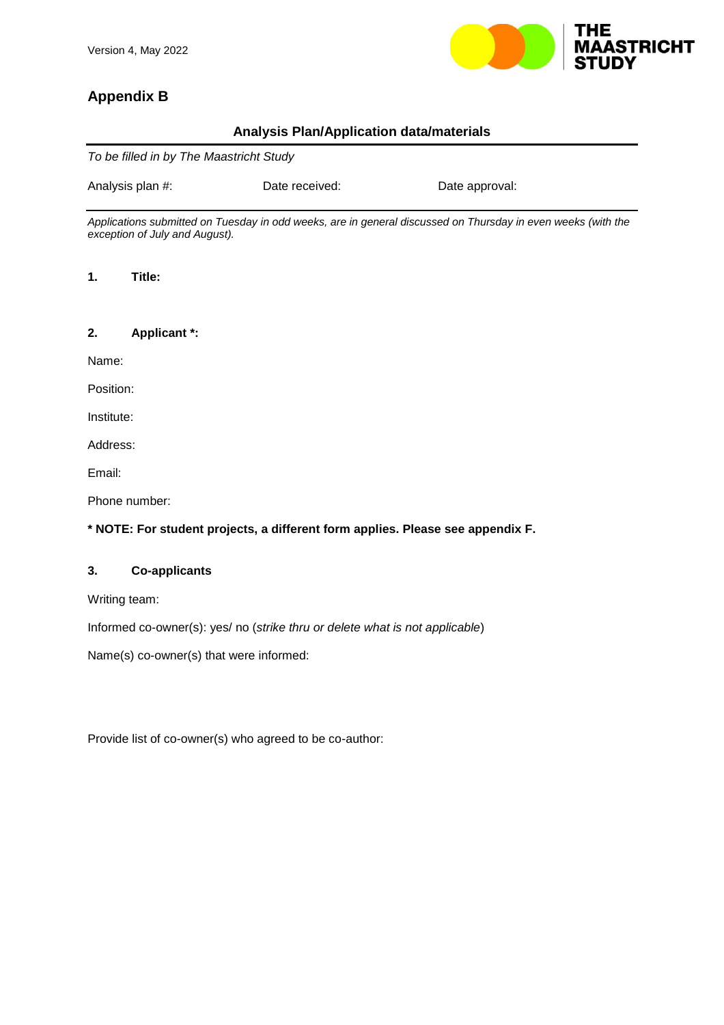

# **Appendix B**

# **Analysis Plan/Application data/materials**

|                  | To be filled in by The Maastricht Study |                                                                                |                                                                                                              |  |  |
|------------------|-----------------------------------------|--------------------------------------------------------------------------------|--------------------------------------------------------------------------------------------------------------|--|--|
| Analysis plan #: |                                         | Date received:                                                                 | Date approval:                                                                                               |  |  |
|                  | exception of July and August).          |                                                                                | Applications submitted on Tuesday in odd weeks, are in general discussed on Thursday in even weeks (with the |  |  |
| 1.               | Title:                                  |                                                                                |                                                                                                              |  |  |
| 2.               | <b>Applicant *:</b>                     |                                                                                |                                                                                                              |  |  |
| Name:            |                                         |                                                                                |                                                                                                              |  |  |
| Position:        |                                         |                                                                                |                                                                                                              |  |  |
| Institute:       |                                         |                                                                                |                                                                                                              |  |  |
| Address:         |                                         |                                                                                |                                                                                                              |  |  |
| Email:           |                                         |                                                                                |                                                                                                              |  |  |
|                  | Phone number:                           |                                                                                |                                                                                                              |  |  |
|                  |                                         | * NOTE: For student projects, a different form applies. Please see appendix F. |                                                                                                              |  |  |
| 3.               | <b>Co-applicants</b>                    |                                                                                |                                                                                                              |  |  |
|                  | Writing team:                           |                                                                                |                                                                                                              |  |  |
|                  |                                         | Informed co-owner(s): yes/ no (strike thru or delete what is not applicable)   |                                                                                                              |  |  |
|                  |                                         | Name(s) co-owner(s) that were informed:                                        |                                                                                                              |  |  |
|                  |                                         | Provide list of co-owner(s) who agreed to be co-author:                        |                                                                                                              |  |  |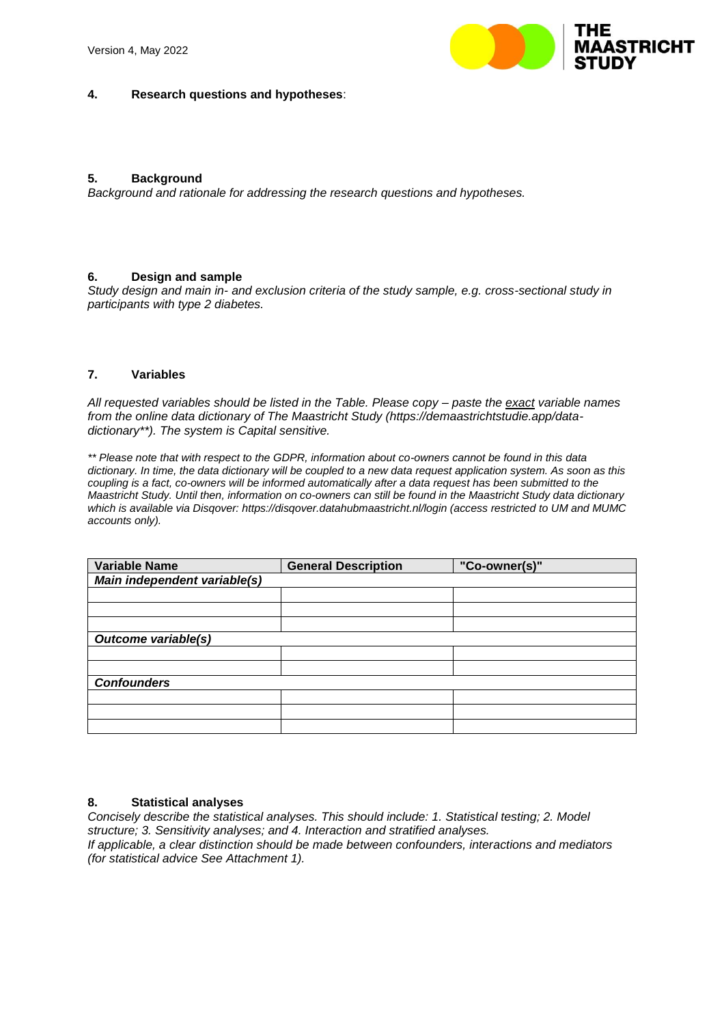

### **4. Research questions and hypotheses**:

### **5. Background**

*Background and rationale for addressing the research questions and hypotheses.*

### **6. Design and sample**

*Study design and main in- and exclusion criteria of the study sample, e.g. cross-sectional study in participants with type 2 diabetes.*

### **7. Variables**

*All requested variables should be listed in the Table. Please copy – paste the exact variable names from the online data dictionary of The Maastricht Study (https://demaastrichtstudie.app/datadictionary\*\*). The system is Capital sensitive.*

*\*\* Please note that with respect to the GDPR, information about co-owners cannot be found in this data dictionary. In time, the data dictionary will be coupled to a new data request application system. As soon as this coupling is a fact, co-owners will be informed automatically after a data request has been submitted to the Maastricht Study. Until then, information on co-owners can still be found in the Maastricht Study data dictionary which is available via Disqover: https://disqover.datahubmaastricht.nl/login (access restricted to UM and MUMC accounts only).*

| <b>Variable Name</b>         | <b>General Description</b> | "Co-owner(s)" |  |  |  |
|------------------------------|----------------------------|---------------|--|--|--|
| Main independent variable(s) |                            |               |  |  |  |
|                              |                            |               |  |  |  |
|                              |                            |               |  |  |  |
|                              |                            |               |  |  |  |
| <b>Outcome variable(s)</b>   |                            |               |  |  |  |
|                              |                            |               |  |  |  |
|                              |                            |               |  |  |  |
| <b>Confounders</b>           |                            |               |  |  |  |
|                              |                            |               |  |  |  |
|                              |                            |               |  |  |  |
|                              |                            |               |  |  |  |

### **8. Statistical analyses**

*Concisely describe the statistical analyses. This should include: 1. Statistical testing; 2. Model structure; 3. Sensitivity analyses; and 4. Interaction and stratified analyses. If applicable, a clear distinction should be made between confounders, interactions and mediators (for statistical advice See Attachment 1).*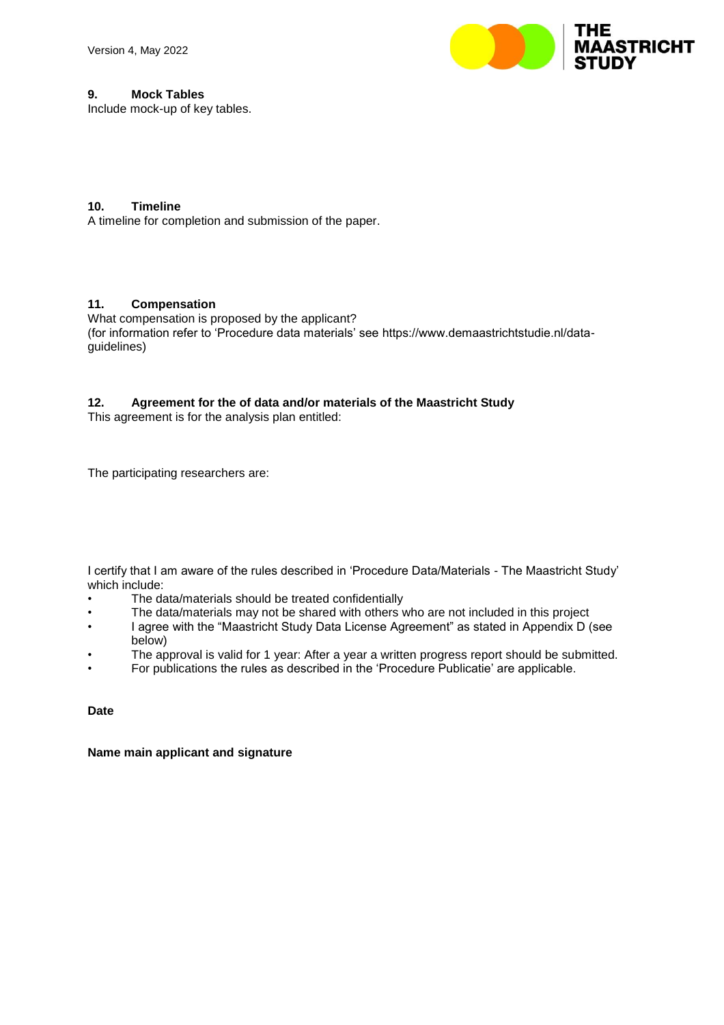

### **9. Mock Tables**

Include mock-up of key tables.

## **10. Timeline**

A timeline for completion and submission of the paper.

### **11. Compensation**

What compensation is proposed by the applicant? (for information refer to 'Procedure data materials' see https://www.demaastrichtstudie.nl/dataguidelines)

### **12. Agreement for the of data and/or materials of the Maastricht Study**

This agreement is for the analysis plan entitled:

The participating researchers are:

I certify that I am aware of the rules described in 'Procedure Data/Materials - The Maastricht Study' which include:

- The data/materials should be treated confidentially
- The data/materials may not be shared with others who are not included in this project
- I agree with the "Maastricht Study Data License Agreement" as stated in Appendix D (see below)
- The approval is valid for 1 year: After a year a written progress report should be submitted.
- For publications the rules as described in the 'Procedure Publicatie' are applicable.

**Date**

**Name main applicant and signature**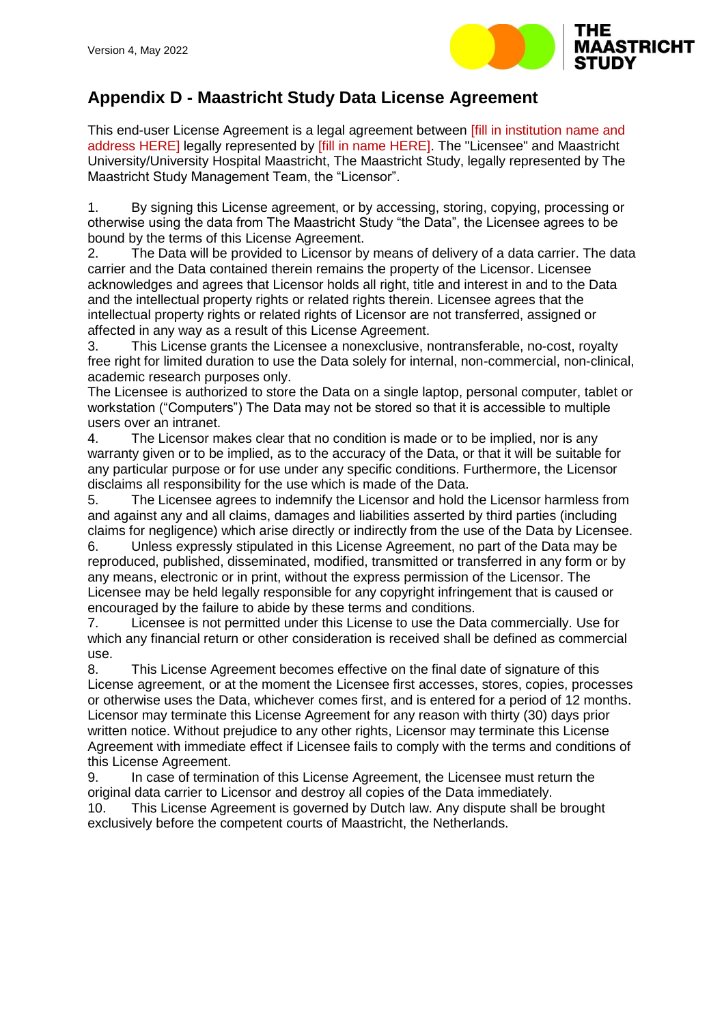

# **Appendix D - Maastricht Study Data License Agreement**

This end-user License Agreement is a legal agreement between [fill in institution name and address HERE] legally represented by [fill in name HERE]. The "Licensee" and Maastricht University/University Hospital Maastricht, The Maastricht Study, legally represented by The Maastricht Study Management Team, the "Licensor".

1. By signing this License agreement, or by accessing, storing, copying, processing or otherwise using the data from The Maastricht Study "the Data", the Licensee agrees to be bound by the terms of this License Agreement.

2. The Data will be provided to Licensor by means of delivery of a data carrier. The data carrier and the Data contained therein remains the property of the Licensor. Licensee acknowledges and agrees that Licensor holds all right, title and interest in and to the Data and the intellectual property rights or related rights therein. Licensee agrees that the intellectual property rights or related rights of Licensor are not transferred, assigned or affected in any way as a result of this License Agreement.

3. This License grants the Licensee a nonexclusive, nontransferable, no-cost, royalty free right for limited duration to use the Data solely for internal, non-commercial, non-clinical, academic research purposes only.

The Licensee is authorized to store the Data on a single laptop, personal computer, tablet or workstation ("Computers") The Data may not be stored so that it is accessible to multiple users over an intranet.

4. The Licensor makes clear that no condition is made or to be implied, nor is any warranty given or to be implied, as to the accuracy of the Data, or that it will be suitable for any particular purpose or for use under any specific conditions. Furthermore, the Licensor disclaims all responsibility for the use which is made of the Data.

5. The Licensee agrees to indemnify the Licensor and hold the Licensor harmless from and against any and all claims, damages and liabilities asserted by third parties (including claims for negligence) which arise directly or indirectly from the use of the Data by Licensee.

6. Unless expressly stipulated in this License Agreement, no part of the Data may be reproduced, published, disseminated, modified, transmitted or transferred in any form or by any means, electronic or in print, without the express permission of the Licensor. The Licensee may be held legally responsible for any copyright infringement that is caused or encouraged by the failure to abide by these terms and conditions.

7. Licensee is not permitted under this License to use the Data commercially. Use for which any financial return or other consideration is received shall be defined as commercial use.

8. This License Agreement becomes effective on the final date of signature of this License agreement, or at the moment the Licensee first accesses, stores, copies, processes or otherwise uses the Data, whichever comes first, and is entered for a period of 12 months. Licensor may terminate this License Agreement for any reason with thirty (30) days prior written notice. Without prejudice to any other rights, Licensor may terminate this License Agreement with immediate effect if Licensee fails to comply with the terms and conditions of this License Agreement.

9. In case of termination of this License Agreement, the Licensee must return the original data carrier to Licensor and destroy all copies of the Data immediately.

10. This License Agreement is governed by Dutch law. Any dispute shall be brought exclusively before the competent courts of Maastricht, the Netherlands.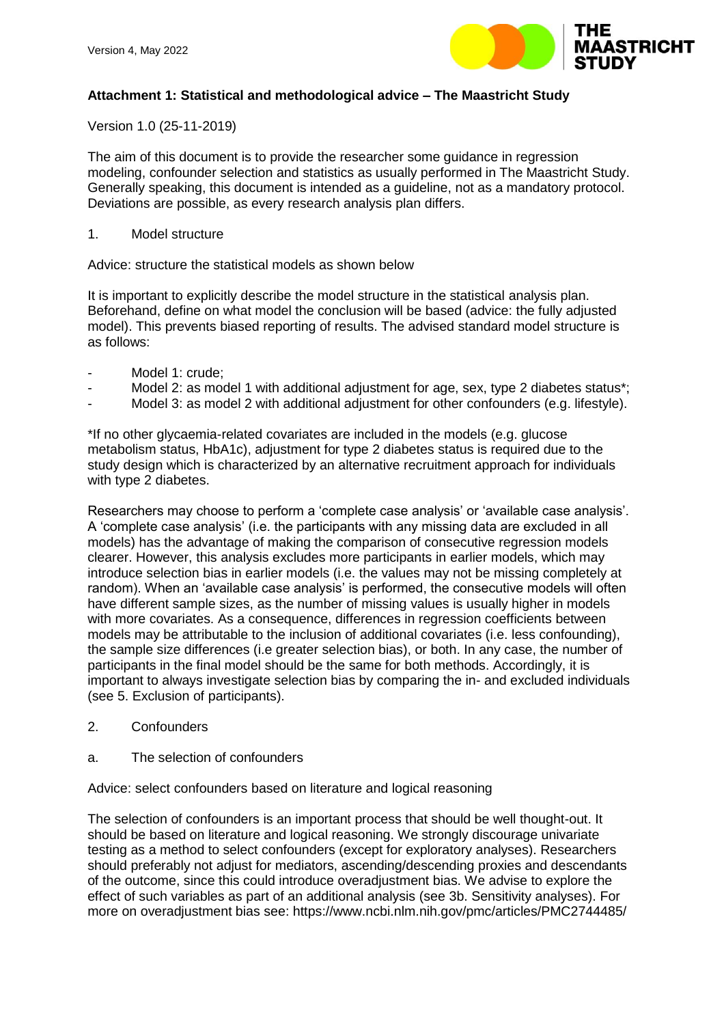

## **Attachment 1: Statistical and methodological advice – The Maastricht Study**

Version 1.0 (25-11-2019)

The aim of this document is to provide the researcher some guidance in regression modeling, confounder selection and statistics as usually performed in The Maastricht Study. Generally speaking, this document is intended as a guideline, not as a mandatory protocol. Deviations are possible, as every research analysis plan differs.

1. Model structure

Advice: structure the statistical models as shown below

It is important to explicitly describe the model structure in the statistical analysis plan. Beforehand, define on what model the conclusion will be based (advice: the fully adjusted model). This prevents biased reporting of results. The advised standard model structure is as follows:

- Model 1: crude:
- Model 2: as model 1 with additional adjustment for age, sex, type 2 diabetes status\*;
- Model 3: as model 2 with additional adjustment for other confounders (e.g. lifestyle).

\*If no other glycaemia-related covariates are included in the models (e.g. glucose metabolism status, HbA1c), adjustment for type 2 diabetes status is required due to the study design which is characterized by an alternative recruitment approach for individuals with type 2 diabetes.

Researchers may choose to perform a 'complete case analysis' or 'available case analysis'. A 'complete case analysis' (i.e. the participants with any missing data are excluded in all models) has the advantage of making the comparison of consecutive regression models clearer. However, this analysis excludes more participants in earlier models, which may introduce selection bias in earlier models (i.e. the values may not be missing completely at random). When an 'available case analysis' is performed, the consecutive models will often have different sample sizes, as the number of missing values is usually higher in models with more covariates. As a consequence, differences in regression coefficients between models may be attributable to the inclusion of additional covariates (i.e. less confounding), the sample size differences (i.e greater selection bias), or both. In any case, the number of participants in the final model should be the same for both methods. Accordingly, it is important to always investigate selection bias by comparing the in- and excluded individuals (see 5. Exclusion of participants).

- 2. Confounders
- a. The selection of confounders

Advice: select confounders based on literature and logical reasoning

The selection of confounders is an important process that should be well thought-out. It should be based on literature and logical reasoning. We strongly discourage univariate testing as a method to select confounders (except for exploratory analyses). Researchers should preferably not adjust for mediators, ascending/descending proxies and descendants of the outcome, since this could introduce overadjustment bias. We advise to explore the effect of such variables as part of an additional analysis (see 3b. Sensitivity analyses). For more on overadjustment bias see: https://www.ncbi.nlm.nih.gov/pmc/articles/PMC2744485/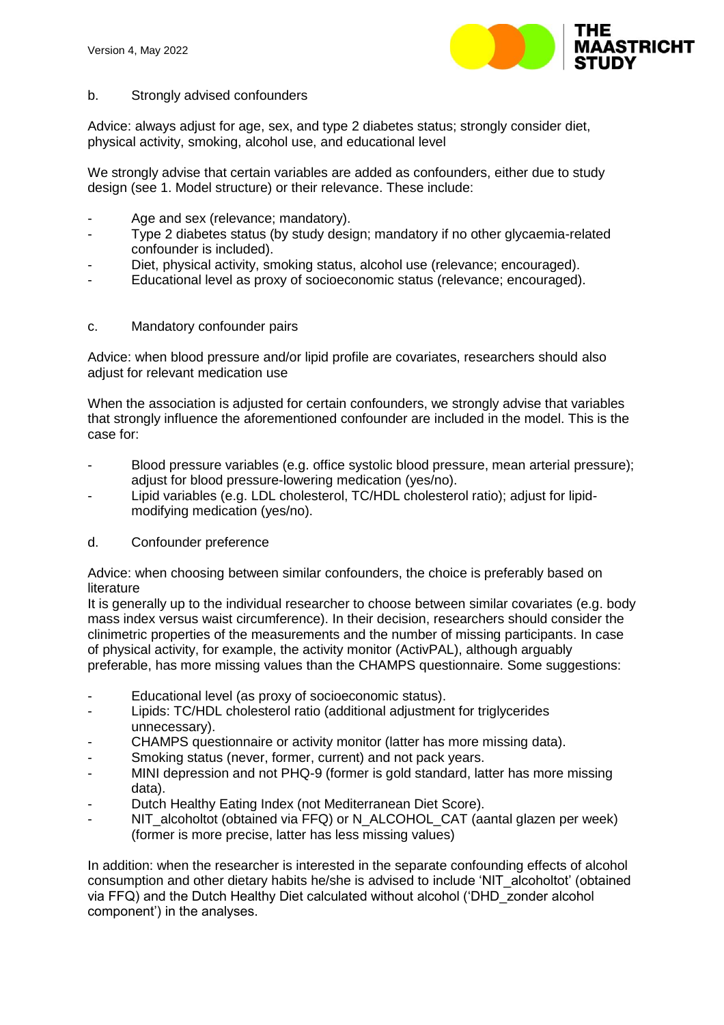

# b. Strongly advised confounders

Advice: always adjust for age, sex, and type 2 diabetes status; strongly consider diet, physical activity, smoking, alcohol use, and educational level

We strongly advise that certain variables are added as confounders, either due to study design (see 1. Model structure) or their relevance. These include:

- Age and sex (relevance; mandatory).
- Type 2 diabetes status (by study design; mandatory if no other glycaemia-related confounder is included).
- Diet, physical activity, smoking status, alcohol use (relevance; encouraged).
- Educational level as proxy of socioeconomic status (relevance; encouraged).

# c. Mandatory confounder pairs

Advice: when blood pressure and/or lipid profile are covariates, researchers should also adjust for relevant medication use

When the association is adjusted for certain confounders, we strongly advise that variables that strongly influence the aforementioned confounder are included in the model. This is the case for:

- Blood pressure variables (e.g. office systolic blood pressure, mean arterial pressure); adjust for blood pressure-lowering medication (yes/no).
- Lipid variables (e.g. LDL cholesterol, TC/HDL cholesterol ratio); adjust for lipidmodifying medication (yes/no).

# d. Confounder preference

Advice: when choosing between similar confounders, the choice is preferably based on literature

It is generally up to the individual researcher to choose between similar covariates (e.g. body mass index versus waist circumference). In their decision, researchers should consider the clinimetric properties of the measurements and the number of missing participants. In case of physical activity, for example, the activity monitor (ActivPAL), although arguably preferable, has more missing values than the CHAMPS questionnaire. Some suggestions:

- Educational level (as proxy of socioeconomic status).
- Lipids: TC/HDL cholesterol ratio (additional adjustment for triglycerides unnecessary).
- CHAMPS questionnaire or activity monitor (latter has more missing data).
- Smoking status (never, former, current) and not pack years.
- MINI depression and not PHQ-9 (former is gold standard, latter has more missing data).
- Dutch Healthy Eating Index (not Mediterranean Diet Score).
- NIT\_alcoholtot (obtained via FFQ) or N\_ALCOHOL\_CAT (aantal glazen per week) (former is more precise, latter has less missing values)

In addition: when the researcher is interested in the separate confounding effects of alcohol consumption and other dietary habits he/she is advised to include 'NIT\_alcoholtot' (obtained via FFQ) and the Dutch Healthy Diet calculated without alcohol ('DHD\_zonder alcohol component') in the analyses.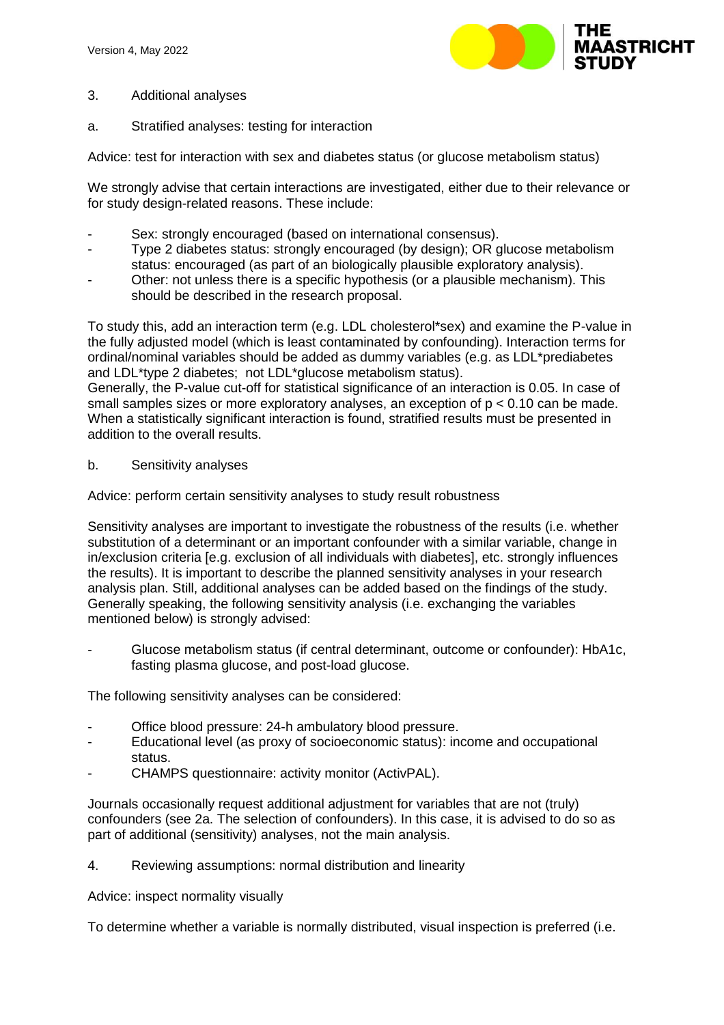

- 3. Additional analyses
- a. Stratified analyses: testing for interaction

Advice: test for interaction with sex and diabetes status (or glucose metabolism status)

We strongly advise that certain interactions are investigated, either due to their relevance or for study design-related reasons. These include:

- Sex: strongly encouraged (based on international consensus).
- Type 2 diabetes status: strongly encouraged (by design); OR glucose metabolism status: encouraged (as part of an biologically plausible exploratory analysis).
- Other: not unless there is a specific hypothesis (or a plausible mechanism). This should be described in the research proposal.

To study this, add an interaction term (e.g. LDL cholesterol\*sex) and examine the P-value in the fully adjusted model (which is least contaminated by confounding). Interaction terms for ordinal/nominal variables should be added as dummy variables (e.g. as LDL\*prediabetes and LDL\*type 2 diabetes; not LDL\*glucose metabolism status).

Generally, the P-value cut-off for statistical significance of an interaction is 0.05. In case of small samples sizes or more exploratory analyses, an exception of p < 0.10 can be made. When a statistically significant interaction is found, stratified results must be presented in addition to the overall results.

### b. Sensitivity analyses

Advice: perform certain sensitivity analyses to study result robustness

Sensitivity analyses are important to investigate the robustness of the results (i.e. whether substitution of a determinant or an important confounder with a similar variable, change in in/exclusion criteria [e.g. exclusion of all individuals with diabetes], etc. strongly influences the results). It is important to describe the planned sensitivity analyses in your research analysis plan. Still, additional analyses can be added based on the findings of the study. Generally speaking, the following sensitivity analysis (i.e. exchanging the variables mentioned below) is strongly advised:

- Glucose metabolism status (if central determinant, outcome or confounder): HbA1c, fasting plasma glucose, and post-load glucose.

The following sensitivity analyses can be considered:

- Office blood pressure: 24-h ambulatory blood pressure.
- Educational level (as proxy of socioeconomic status): income and occupational status.
- CHAMPS questionnaire: activity monitor (ActivPAL).

Journals occasionally request additional adjustment for variables that are not (truly) confounders (see 2a. The selection of confounders). In this case, it is advised to do so as part of additional (sensitivity) analyses, not the main analysis.

4. Reviewing assumptions: normal distribution and linearity

Advice: inspect normality visually

To determine whether a variable is normally distributed, visual inspection is preferred (i.e.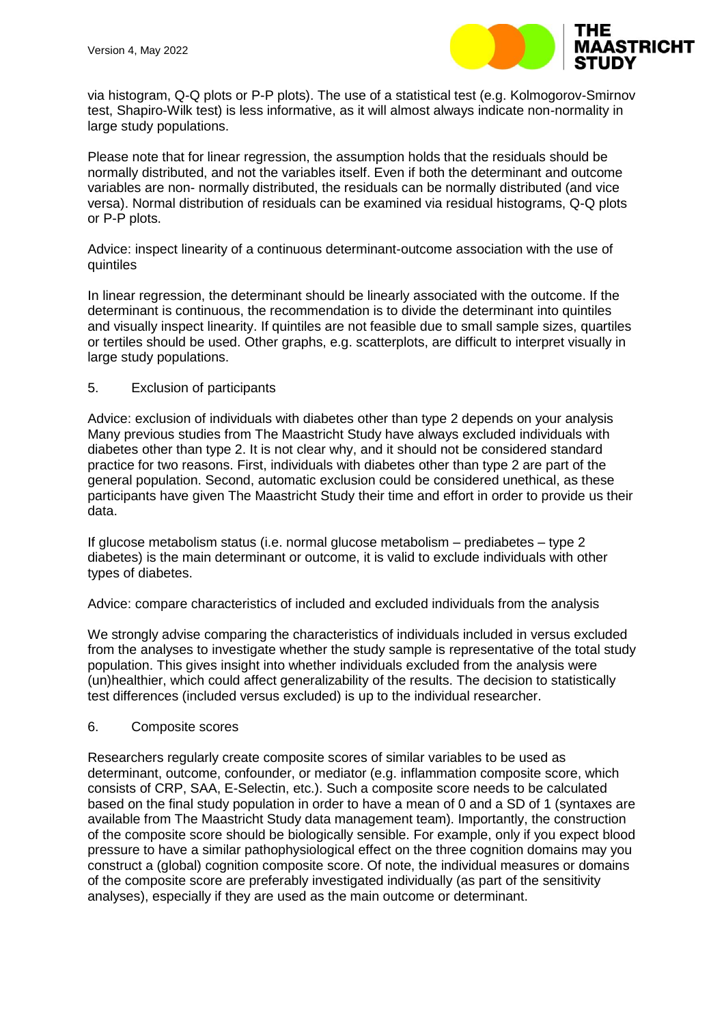

via histogram, Q-Q plots or P-P plots). The use of a statistical test (e.g. Kolmogorov-Smirnov test, Shapiro-Wilk test) is less informative, as it will almost always indicate non-normality in large study populations.

Please note that for linear regression, the assumption holds that the residuals should be normally distributed, and not the variables itself. Even if both the determinant and outcome variables are non- normally distributed, the residuals can be normally distributed (and vice versa). Normal distribution of residuals can be examined via residual histograms, Q-Q plots or P-P plots.

Advice: inspect linearity of a continuous determinant-outcome association with the use of quintiles

In linear regression, the determinant should be linearly associated with the outcome. If the determinant is continuous, the recommendation is to divide the determinant into quintiles and visually inspect linearity. If quintiles are not feasible due to small sample sizes, quartiles or tertiles should be used. Other graphs, e.g. scatterplots, are difficult to interpret visually in large study populations.

## 5. Exclusion of participants

Advice: exclusion of individuals with diabetes other than type 2 depends on your analysis Many previous studies from The Maastricht Study have always excluded individuals with diabetes other than type 2. It is not clear why, and it should not be considered standard practice for two reasons. First, individuals with diabetes other than type 2 are part of the general population. Second, automatic exclusion could be considered unethical, as these participants have given The Maastricht Study their time and effort in order to provide us their data.

If glucose metabolism status (i.e. normal glucose metabolism – prediabetes – type 2 diabetes) is the main determinant or outcome, it is valid to exclude individuals with other types of diabetes.

Advice: compare characteristics of included and excluded individuals from the analysis

We strongly advise comparing the characteristics of individuals included in versus excluded from the analyses to investigate whether the study sample is representative of the total study population. This gives insight into whether individuals excluded from the analysis were (un)healthier, which could affect generalizability of the results. The decision to statistically test differences (included versus excluded) is up to the individual researcher.

### 6. Composite scores

Researchers regularly create composite scores of similar variables to be used as determinant, outcome, confounder, or mediator (e.g. inflammation composite score, which consists of CRP, SAA, E-Selectin, etc.). Such a composite score needs to be calculated based on the final study population in order to have a mean of 0 and a SD of 1 (syntaxes are available from The Maastricht Study data management team). Importantly, the construction of the composite score should be biologically sensible. For example, only if you expect blood pressure to have a similar pathophysiological effect on the three cognition domains may you construct a (global) cognition composite score. Of note, the individual measures or domains of the composite score are preferably investigated individually (as part of the sensitivity analyses), especially if they are used as the main outcome or determinant.